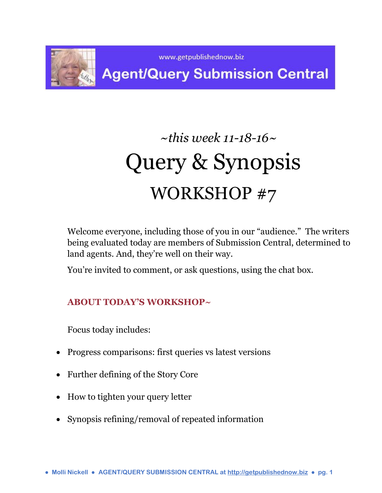

# *~this week 11-18-16~* Query & Synopsis WORKSHOP #7

Welcome everyone, including those of you in our "audience." The writers being evaluated today are members of Submission Central, determined to land agents. And, they're well on their way.

You're invited to comment, or ask questions, using the chat box.

# **ABOUT TODAY'S WORKSHOP~**

Focus today includes:

- Progress comparisons: first queries vs latest versions
- Further defining of the Story Core
- How to tighten your query letter
- Synopsis refining/removal of repeated information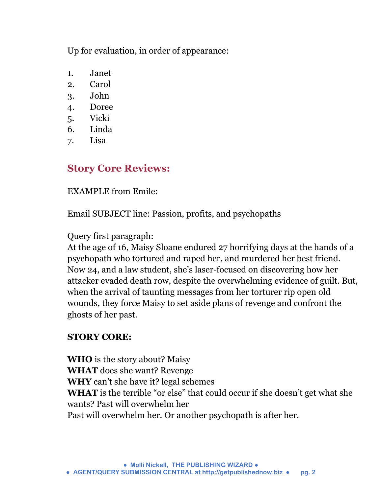Up for evaluation, in order of appearance:

- 1. Janet
- 2. Carol
- 3. John
- 4. Doree
- 5. Vicki
- 6. Linda
- 7. Lisa

# **Story Core Reviews:**

EXAMPLE from Emile:

Email SUBJECT line: Passion, profits, and psychopaths

Query first paragraph:

At the age of 16, Maisy Sloane endured 27 horrifying days at the hands of a psychopath who tortured and raped her, and murdered her best friend. Now 24, and a law student, she's laser-focused on discovering how her attacker evaded death row, despite the overwhelming evidence of guilt. But, when the arrival of taunting messages from her torturer rip open old wounds, they force Maisy to set aside plans of revenge and confront the ghosts of her past.

# **STORY CORE:**

**WHO** is the story about? Maisy **WHAT** does she want? Revenge **WHY** can't she have it? legal schemes **WHAT** is the terrible "or else" that could occur if she doesn't get what she wants? Past will overwhelm her Past will overwhelm her. Or another psychopath is after her.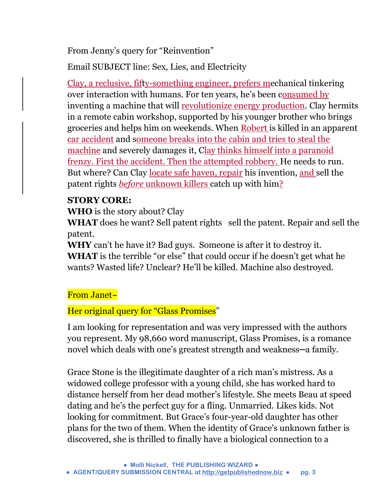From Jenny's query for "Reinvention"

Email SUBJECT line: Sex, Lies, and Electricity

Clay, a reclusive, fifty-something engineer, prefers mechanical tinkering over interaction with humans. For ten years, he's been consumed by inventing a machine that will revolutionize energy production. Clay hermits in a remote cabin workshop, supported by his younger brother who brings groceries and helps him on weekends. When Robert is killed in an apparent car accident and someone breaks into the cabin and tries to steal the machine and severely damages it, Clay thinks himself into a paranoid frenzy. First the accident. Then the attempted robbery. He needs to run. But where? Can Clay locate safe haven, repair his invention, and sell the patent rights *before* unknown killers catch up with him?

# **STORY CORE:**

**WHO** is the story about? Clay

**WHAT** does he want? Sell patent rights sell the patent. Repair and sell the patent.

**WHY** can't he have it? Bad guys. Someone is after it to destroy it. **WHAT** is the terrible "or else" that could occur if he doesn't get what he wants? Wasted life? Unclear? He'll be killed. Machine also destroyed.

# From Janet~

Her original query for "Glass Promises"

I am looking for representation and was very impressed with the authors you represent. My 98,660 word manuscript, Glass Promises, is a romance novel which deals with one's greatest strength and weakness—a family.

Grace Stone is the illegitimate daughter of a rich man's mistress. As a widowed college professor with a young child, she has worked hard to distance herself from her dead mother's lifestyle. She meets Beau at speed dating and he's the perfect guy for a fling. Unmarried. Likes kids. Not looking for commitment. But Grace's four-year-old daughter has other plans for the two of them. When the identity of Grace's unknown father is discovered, she is thrilled to finally have a biological connection to a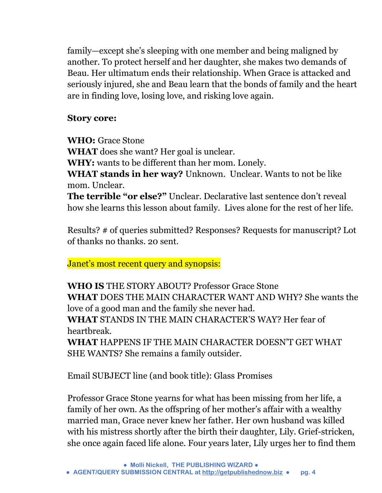family—except she's sleeping with one member and being maligned by another. To protect herself and her daughter, she makes two demands of Beau. Her ultimatum ends their relationship. When Grace is attacked and seriously injured, she and Beau learn that the bonds of family and the heart are in finding love, losing love, and risking love again.

#### **Story core:**

**WHO:** Grace Stone

**WHAT** does she want? Her goal is unclear.

**WHY:** wants to be different than her mom. Lonely.

**WHAT stands in her way?** Unknown. Unclear. Wants to not be like mom. Unclear.

**The terrible "or else?"** Unclear. Declarative last sentence don't reveal how she learns this lesson about family. Lives alone for the rest of her life.

Results? # of queries submitted? Responses? Requests for manuscript? Lot of thanks no thanks. 20 sent.

Janet's most recent query and synopsis:

**WHO IS** THE STORY ABOUT? Professor Grace Stone **WHAT** DOES THE MAIN CHARACTER WANT AND WHY? She wants the love of a good man and the family she never had.

**WHAT** STANDS IN THE MAIN CHARACTER'S WAY? Her fear of heartbreak.

**WHAT** HAPPENS IF THE MAIN CHARACTER DOESN'T GET WHAT SHE WANTS? She remains a family outsider.

Email SUBJECT line (and book title): Glass Promises

Professor Grace Stone yearns for what has been missing from her life, a family of her own. As the offspring of her mother's affair with a wealthy married man, Grace never knew her father. Her own husband was killed with his mistress shortly after the birth their daughter, Lily. Grief-stricken, she once again faced life alone. Four years later, Lily urges her to find them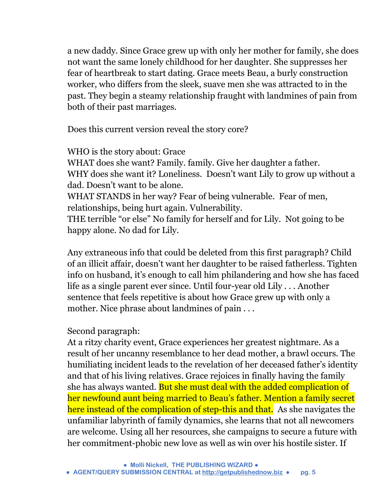a new daddy. Since Grace grew up with only her mother for family, she does not want the same lonely childhood for her daughter. She suppresses her fear of heartbreak to start dating. Grace meets Beau, a burly construction worker, who differs from the sleek, suave men she was attracted to in the past. They begin a steamy relationship fraught with landmines of pain from both of their past marriages.

Does this current version reveal the story core?

WHO is the story about: Grace WHAT does she want? Family. family. Give her daughter a father. WHY does she want it? Loneliness. Doesn't want Lily to grow up without a

dad. Doesn't want to be alone. WHAT STANDS in her way? Fear of being vulnerable. Fear of men, relationships, being hurt again. Vulnerability.

THE terrible "or else" No family for herself and for Lily. Not going to be happy alone. No dad for Lily.

Any extraneous info that could be deleted from this first paragraph? Child of an illicit affair, doesn't want her daughter to be raised fatherless. Tighten info on husband, it's enough to call him philandering and how she has faced life as a single parent ever since. Until four-year old Lily . . . Another sentence that feels repetitive is about how Grace grew up with only a mother. Nice phrase about landmines of pain . . .

#### Second paragraph:

At a ritzy charity event, Grace experiences her greatest nightmare. As a result of her uncanny resemblance to her dead mother, a brawl occurs. The humiliating incident leads to the revelation of her deceased father's identity and that of his living relatives. Grace rejoices in finally having the family she has always wanted. But she must deal with the added complication of her newfound aunt being married to Beau's father. Mention a family secret here instead of the complication of step-this and that. As she navigates the unfamiliar labyrinth of family dynamics, she learns that not all newcomers are welcome. Using all her resources, she campaigns to secure a future with her commitment-phobic new love as well as win over his hostile sister. If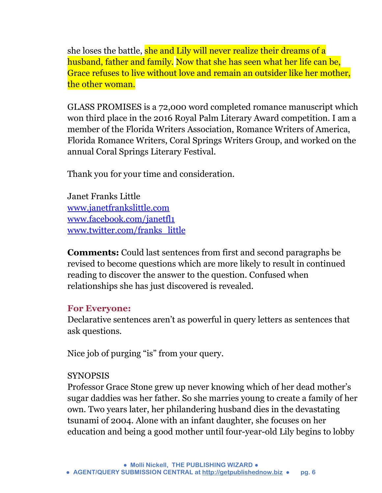she loses the battle, she and Lily will never realize their dreams of a husband, father and family. Now that she has seen what her life can be, Grace refuses to live without love and remain an outsider like her mother, the other woman.

GLASS PROMISES is a 72,000 word completed romance manuscript which won third place in the 2016 Royal Palm Literary Award competition. I am a member of the Florida Writers Association, Romance Writers of America, Florida Romance Writers, Coral Springs Writers Group, and worked on the annual Coral Springs Literary Festival.

Thank you for your time and consideration.

Janet Franks Little [www.janetfrankslittle.com](http://l.facebook.com/l.php?u=http%3A%2F%2Fwww.janetfrankslittle.com%2F&h=NAQHiaDn2&s=1) [www.facebook.com/janetfl1](http://www.facebook.com/janetfl1) [www.twitter.com/franks\\_little](http://l.facebook.com/l.php?u=http%3A%2F%2Fwww.twitter.com%2Ffranks_little&h=fAQFTRgM_&s=1)

**Comments:** Could last sentences from first and second paragraphs be revised to become questions which are more likely to result in continued reading to discover the answer to the question. Confused when relationships she has just discovered is revealed.

#### **For Everyone:**

Declarative sentences aren't as powerful in query letters as sentences that ask questions.

Nice job of purging "is" from your query.

#### SYNOPSIS

Professor Grace Stone grew up never knowing which of her dead mother's sugar daddies was her father. So she marries young to create a family of her own. Two years later, her philandering husband dies in the devastating tsunami of 2004. Alone with an infant daughter, she focuses on her education and being a good mother until four-year-old Lily begins to lobby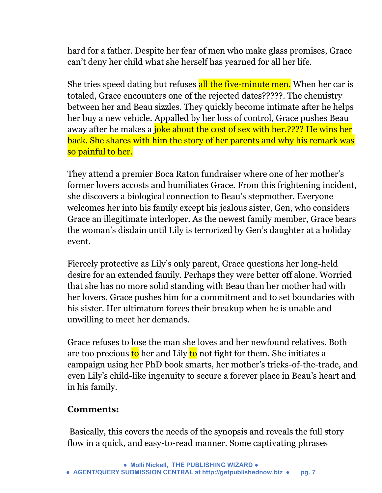hard for a father. Despite her fear of men who make glass promises, Grace can't deny her child what she herself has yearned for all her life.

She tries speed dating but refuses all the five-minute men. When her car is totaled, Grace encounters one of the rejected dates?????. The chemistry between her and Beau sizzles. They quickly become intimate after he helps her buy a new vehicle. Appalled by her loss of control, Grace pushes Beau away after he makes a joke about the cost of sex with her.???? He wins her back. She shares with him the story of her parents and why his remark was so painful to her.

They attend a premier Boca Raton fundraiser where one of her mother's former lovers accosts and humiliates Grace. From this frightening incident, she discovers a biological connection to Beau's stepmother. Everyone welcomes her into his family except his jealous sister, Gen, who considers Grace an illegitimate interloper. As the newest family member, Grace bears the woman's disdain until Lily is terrorized by Gen's daughter at a holiday event.

Fiercely protective as Lily's only parent, Grace questions her long-held desire for an extended family. Perhaps they were better off alone. Worried that she has no more solid standing with Beau than her mother had with her lovers, Grace pushes him for a commitment and to set boundaries with his sister. Her ultimatum forces their breakup when he is unable and unwilling to meet her demands.

Grace refuses to lose the man she loves and her newfound relatives. Both are too precious to her and Lily to not fight for them. She initiates a campaign using her PhD book smarts, her mother's tricks-of-the-trade, and even Lily's child-like ingenuity to secure a forever place in Beau's heart and in his family.

#### **Comments:**

Basically, this covers the needs of the synopsis and reveals the full story flow in a quick, and easy-to-read manner. Some captivating phrases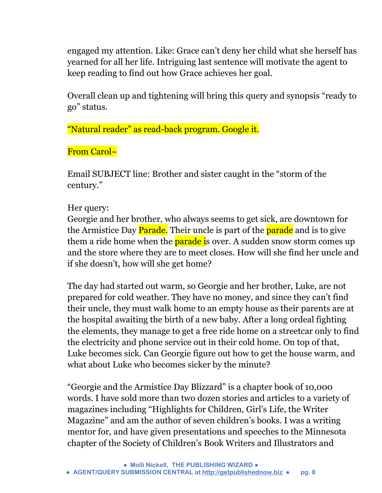engaged my attention. Like: Grace can't deny her child what she herself has yearned for all her life. Intriguing last sentence will motivate the agent to keep reading to find out how Grace achieves her goal.

Overall clean up and tightening will bring this query and synopsis "ready to go" status.

"Natural reader" as read-back program. Google it.

From Carol~

Email SUBJECT line: Brother and sister caught in the "storm of the century."

# Her query:

Georgie and her brother, who always seems to get sick, are downtown for the Armistice Day Parade. Their uncle is part of the parade and is to give them a ride home when the **parade i**s over. A sudden snow storm comes up and the store where they are to meet closes. How will she find her uncle and if she doesn't, how will she get home?

The day had started out warm, so Georgie and her brother, Luke, are not prepared for cold weather. They have no money, and since they can't find their uncle, they must walk home to an empty house as their parents are at the hospital awaiting the birth of a new baby. After a long ordeal fighting the elements, they manage to get a free ride home on a streetcar only to find the electricity and phone service out in their cold home. On top of that, Luke becomes sick. Can Georgie figure out how to get the house warm, and what about Luke who becomes sicker by the minute?

"Georgie and the Armistice Day Blizzard" is a chapter book of 10,000 words. I have sold more than two dozen stories and articles to a variety of magazines including "Highlights for Children, Girl's Life, the Writer Magazine" and am the author of seven children's books. I was a writing mentor for, and have given presentations and speeches to the Minnesota chapter of the Society of Children's Book Writers and Illustrators and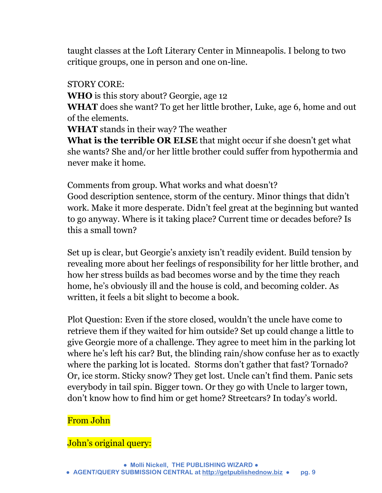taught classes at the Loft Literary Center in Minneapolis. I belong to two critique groups, one in person and one on-line.

STORY CORE:

**WHO** is this story about? Georgie, age 12

**WHAT** does she want? To get her little brother, Luke, age 6, home and out of the elements.

**WHAT** stands in their way? The weather

**What is the terrible OR ELSE** that might occur if she doesn't get what she wants? She and/or her little brother could suffer from hypothermia and never make it home.

Comments from group. What works and what doesn't? Good description sentence, storm of the century. Minor things that didn't work. Make it more desperate. Didn't feel great at the beginning but wanted to go anyway. Where is it taking place? Current time or decades before? Is this a small town?

Set up is clear, but Georgie's anxiety isn't readily evident. Build tension by revealing more about her feelings of responsibility for her little brother, and how her stress builds as bad becomes worse and by the time they reach home, he's obviously ill and the house is cold, and becoming colder. As written, it feels a bit slight to become a book.

Plot Question: Even if the store closed, wouldn't the uncle have come to retrieve them if they waited for him outside? Set up could change a little to give Georgie more of a challenge. They agree to meet him in the parking lot where he's left his car? But, the blinding rain/show confuse her as to exactly where the parking lot is located. Storms don't gather that fast? Tornado? Or, ice storm. Sticky snow? They get lost. Uncle can't find them. Panic sets everybody in tail spin. Bigger town. Or they go with Uncle to larger town, don't know how to find him or get home? Streetcars? In today's world.

# From John

#### John's original query: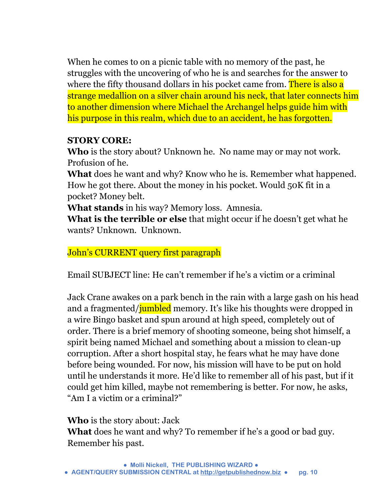When he comes to on a picnic table with no memory of the past, he struggles with the uncovering of who he is and searches for the answer to where the fifty thousand dollars in his pocket came from. There is also a strange medallion on a silver chain around his neck, that later connects him to another dimension where Michael the Archangel helps guide him with his purpose in this realm, which due to an accident, he has forgotten.

#### **STORY CORE:**

**Who** is the story about? Unknown he. No name may or may not work. Profusion of he.

**What** does he want and why? Know who he is. Remember what happened. How he got there. About the money in his pocket. Would 50K fit in a pocket? Money belt.

**What stands** in his way? Memory loss. Amnesia.

**What is the terrible or else** that might occur if he doesn't get what he wants? Unknown. Unknown.

John's CURRENT query first paragraph

Email SUBJECT line: He can't remember if he's a victim or a criminal

Jack Crane awakes on a park bench in the rain with a large gash on his head and a fragmented/*jumbled* memory. It's like his thoughts were dropped in a wire Bingo basket and spun around at high speed, completely out of order. There is a brief memory of shooting someone, being shot himself, a spirit being named Michael and something about a mission to clean-up corruption. After a short hospital stay, he fears what he may have done before being wounded. For now, his mission will have to be put on hold until he understands it more. He'd like to remember all of his past, but if it could get him killed, maybe not remembering is better. For now, he asks, "Am I a victim or a criminal?"

**Who** is the story about: Jack

**What** does he want and why? To remember if he's a good or bad guy. Remember his past.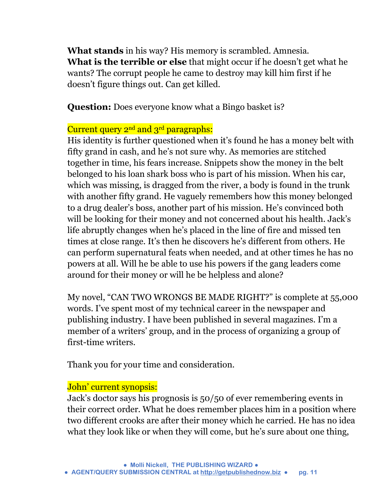**What stands** in his way? His memory is scrambled. Amnesia. **What is the terrible or else** that might occur if he doesn't get what he wants? The corrupt people he came to destroy may kill him first if he doesn't figure things out. Can get killed.

**Question:** Does everyone know what a Bingo basket is?

## Current query 2<sup>nd</sup> and 3<sup>rd</sup> paragraphs:

His identity is further questioned when it's found he has a money belt with fifty grand in cash, and he's not sure why. As memories are stitched together in time, his fears increase. Snippets show the money in the belt belonged to his loan shark boss who is part of his mission. When his car, which was missing, is dragged from the river, a body is found in the trunk with another fifty grand. He vaguely remembers how this money belonged to a drug dealer's boss, another part of his mission. He's convinced both will be looking for their money and not concerned about his health. Jack's life abruptly changes when he's placed in the line of fire and missed ten times at close range. It's then he discovers he's different from others. He can perform supernatural feats when needed, and at other times he has no powers at all. Will he be able to use his powers if the gang leaders come around for their money or will he be helpless and alone?

My novel, "CAN TWO WRONGS BE MADE RIGHT?" is complete at 55,000 words. I've spent most of my technical career in the newspaper and publishing industry. I have been published in several magazines. I'm a member of a writers' group, and in the process of organizing a group of first-time writers.

Thank you for your time and consideration.

#### John' current synopsis:

Jack's doctor says his prognosis is 50/50 of ever remembering events in their correct order. What he does remember places him in a position where two different crooks are after their money which he carried. He has no idea what they look like or when they will come, but he's sure about one thing,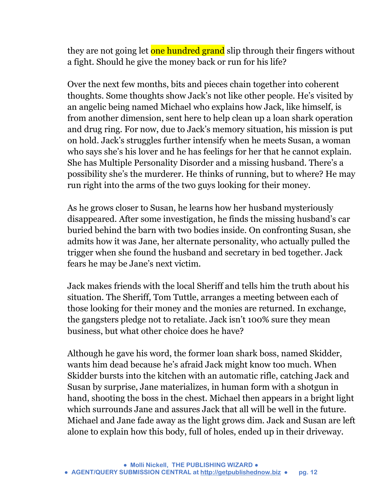they are not going let one hundred grand slip through their fingers without a fight. Should he give the money back or run for his life?

Over the next few months, bits and pieces chain together into coherent thoughts. Some thoughts show Jack's not like other people. He's visited by an angelic being named Michael who explains how Jack, like himself, is from another dimension, sent here to help clean up a loan shark operation and drug ring. For now, due to Jack's memory situation, his mission is put on hold. Jack's struggles further intensify when he meets Susan, a woman who says she's his lover and he has feelings for her that he cannot explain. She has Multiple Personality Disorder and a missing husband. There's a possibility she's the murderer. He thinks of running, but to where? He may run right into the arms of the two guys looking for their money.

As he grows closer to Susan, he learns how her husband mysteriously disappeared. After some investigation, he finds the missing husband's car buried behind the barn with two bodies inside. On confronting Susan, she admits how it was Jane, her alternate personality, who actually pulled the trigger when she found the husband and secretary in bed together. Jack fears he may be Jane's next victim.

Jack makes friends with the local Sheriff and tells him the truth about his situation. The Sheriff, Tom Tuttle, arranges a meeting between each of those looking for their money and the monies are returned. In exchange, the gangsters pledge not to retaliate. Jack isn't 100% sure they mean business, but what other choice does he have?

Although he gave his word, the former loan shark boss, named Skidder, wants him dead because he's afraid Jack might know too much. When Skidder bursts into the kitchen with an automatic rifle, catching Jack and Susan by surprise, Jane materializes, in human form with a shotgun in hand, shooting the boss in the chest. Michael then appears in a bright light which surrounds Jane and assures Jack that all will be well in the future. Michael and Jane fade away as the light grows dim. Jack and Susan are left alone to explain how this body, full of holes, ended up in their driveway.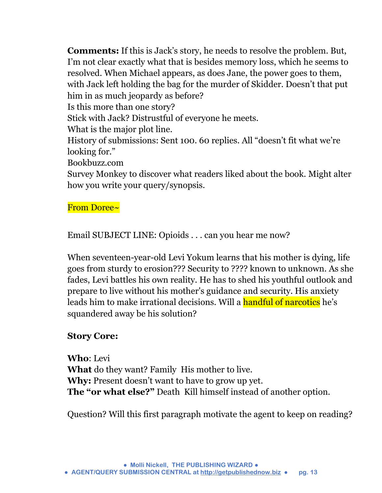**Comments:** If this is Jack's story, he needs to resolve the problem. But, I'm not clear exactly what that is besides memory loss, which he seems to resolved. When Michael appears, as does Jane, the power goes to them, with Jack left holding the bag for the murder of Skidder. Doesn't that put him in as much jeopardy as before? Is this more than one story?

Stick with Jack? Distrustful of everyone he meets.

What is the major plot line.

History of submissions: Sent 100. 60 replies. All "doesn't fit what we're looking for."

Bookbuzz.com

Survey Monkey to discover what readers liked about the book. Might alter how you write your query/synopsis.

From Doree~

Email SUBJECT LINE: Opioids . . . can you hear me now?

When seventeen-year-old Levi Yokum learns that his mother is dying, life goes from sturdy to erosion??? Security to ???? known to unknown. As she fades, Levi battles his own reality. He has to shed his youthful outlook and prepare to live without his mother's guidance and security. His anxiety leads him to make irrational decisions. Will a handful of narcotics he's squandered away be his solution?

# **Story Core:**

**Who**: Levi **What** do they want? Family His mother to live. **Why:** Present doesn't want to have to grow up yet. **The "or what else?"** Death Kill himself instead of another option.

Question? Will this first paragraph motivate the agent to keep on reading?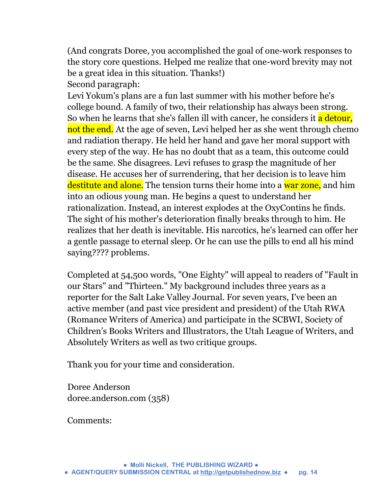(And congrats Doree, you accomplished the goal of one-work responses to the story core questions. Helped me realize that one-word brevity may not be a great idea in this situation. Thanks!) Second paragraph:

Levi Yokum's plans are a fun last summer with his mother before he's college bound. A family of two, their relationship has always been strong. So when he learns that she's fallen ill with cancer, he considers it a detour, not the end. At the age of seven, Levi helped her as she went through chemo and radiation therapy. He held her hand and gave her moral support with every step of the way. He has no doubt that as a team, this outcome could be the same. She disagrees. Levi refuses to grasp the magnitude of her disease. He accuses her of surrendering, that her decision is to leave him destitute and alone. The tension turns their home into a war zone, and him into an odious young man. He begins a quest to understand her rationalization. Instead, an interest explodes at the OxyContins he finds. The sight of his mother's deterioration finally breaks through to him. He realizes that her death is inevitable. His narcotics, he's learned can offer her a gentle passage to eternal sleep. Or he can use the pills to end all his mind saying???? problems.

Completed at 54,500 words, "One Eighty" will appeal to readers of "Fault in our Stars" and "Thirteen." My background includes three years as a reporter for the Salt Lake Valley Journal. For seven years, I've been an active member (and past vice president and president) of the Utah RWA (Romance Writers of America) and participate in the SCBWI, Society of Children's Books Writers and Illustrators, the Utah League of Writers, and Absolutely Writers as well as two critique groups.

Thank you for your time and consideration.

Doree Anderson doree.anderson.com (358)

Comments: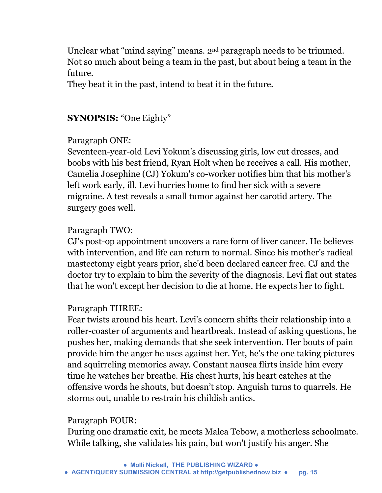Unclear what "mind saying" means. 2nd paragraph needs to be trimmed. Not so much about being a team in the past, but about being a team in the future.

They beat it in the past, intend to beat it in the future.

# **SYNOPSIS:** "One Eighty"

## Paragraph ONE:

Seventeen-year-old Levi Yokum's discussing girls, low cut dresses, and boobs with his best friend, Ryan Holt when he receives a call. His mother, Camelia Josephine (CJ) Yokum's co-worker notifies him that his mother's left work early, ill. Levi hurries home to find her sick with a severe migraine. A test reveals a small tumor against her carotid artery. The surgery goes well.

## Paragraph TWO:

CJ's post-op appointment uncovers a rare form of liver cancer. He believes with intervention, and life can return to normal. Since his mother's radical mastectomy eight years prior, she'd been declared cancer free. CJ and the doctor try to explain to him the severity of the diagnosis. Levi flat out states that he won't except her decision to die at home. He expects her to fight.

#### Paragraph THREE:

Fear twists around his heart. Levi's concern shifts their relationship into a roller-coaster of arguments and heartbreak. Instead of asking questions, he pushes her, making demands that she seek intervention. Her bouts of pain provide him the anger he uses against her. Yet, he's the one taking pictures and squirreling memories away. Constant nausea flirts inside him every time he watches her breathe. His chest hurts, his heart catches at the offensive words he shouts, but doesn't stop. Anguish turns to quarrels. He storms out, unable to restrain his childish antics.

#### Paragraph FOUR:

During one dramatic exit, he meets Malea Tebow, a motherless schoolmate. While talking, she validates his pain, but won't justify his anger. She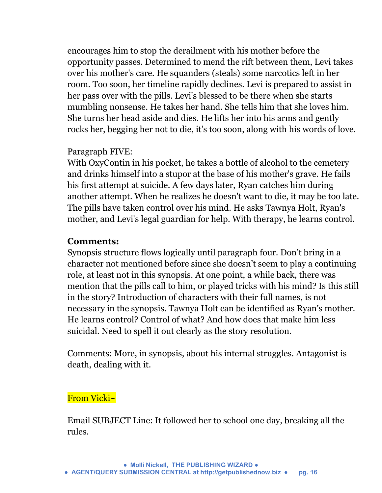encourages him to stop the derailment with his mother before the opportunity passes. Determined to mend the rift between them, Levi takes over his mother's care. He squanders (steals) some narcotics left in her room. Too soon, her timeline rapidly declines. Levi is prepared to assist in her pass over with the pills. Levi's blessed to be there when she starts mumbling nonsense. He takes her hand. She tells him that she loves him. She turns her head aside and dies. He lifts her into his arms and gently rocks her, begging her not to die, it's too soon, along with his words of love.

#### Paragraph FIVE:

With OxyContin in his pocket, he takes a bottle of alcohol to the cemetery and drinks himself into a stupor at the base of his mother's grave. He fails his first attempt at suicide. A few days later, Ryan catches him during another attempt. When he realizes he doesn't want to die, it may be too late. The pills have taken control over his mind. He asks Tawnya Holt, Ryan's mother, and Levi's legal guardian for help. With therapy, he learns control.

#### **Comments:**

Synopsis structure flows logically until paragraph four. Don't bring in a character not mentioned before since she doesn't seem to play a continuing role, at least not in this synopsis. At one point, a while back, there was mention that the pills call to him, or played tricks with his mind? Is this still in the story? Introduction of characters with their full names, is not necessary in the synopsis. Tawnya Holt can be identified as Ryan's mother. He learns control? Control of what? And how does that make him less suicidal. Need to spell it out clearly as the story resolution.

Comments: More, in synopsis, about his internal struggles. Antagonist is death, dealing with it.

#### From Vicki~

Email SUBJECT Line: It followed her to school one day, breaking all the rules.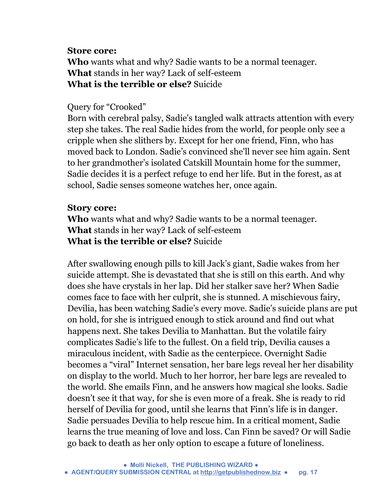#### **Store core:**

**Who** wants what and why? Sadie wants to be a normal teenager. **What** stands in her way? Lack of self-esteem **What is the terrible or else?** Suicide

#### Query for "Crooked"

Born with cerebral palsy, Sadie's tangled walk attracts attention with every step she takes. The real Sadie hides from the world, for people only see a cripple when she slithers by. Except for her one friend, Finn, who has moved back to London. Sadie's convinced she'll never see him again. Sent to her grandmother's isolated Catskill Mountain home for the summer, Sadie decides it is a perfect refuge to end her life. But in the forest, as at school, Sadie senses someone watches her, once again.

#### **Story core:**

**Who** wants what and why? Sadie wants to be a normal teenager. **What** stands in her way? Lack of self-esteem **What is the terrible or else?** Suicide

After swallowing enough pills to kill Jack's giant, Sadie wakes from her suicide attempt. She is devastated that she is still on this earth. And why does she have crystals in her lap. Did her stalker save her? When Sadie comes face to face with her culprit, she is stunned. A mischievous fairy, Devilia, has been watching Sadie's every move. Sadie's suicide plans are put on hold, for she is intrigued enough to stick around and find out what happens next. She takes Devilia to Manhattan. But the volatile fairy complicates Sadie's life to the fullest. On a field trip, Devilia causes a miraculous incident, with Sadie as the centerpiece. Overnight Sadie becomes a "viral" Internet sensation, her bare legs reveal her her disability on display to the world. Much to her horror, her bare legs are revealed to the world. She emails Finn, and he answers how magical she looks. Sadie doesn't see it that way, for she is even more of a freak. She is ready to rid herself of Devilia for good, until she learns that Finn's life is in danger. Sadie persuades Devilia to help rescue him. In a critical moment, Sadie learns the true meaning of love and loss. Can Finn be saved? Or will Sadie go back to death as her only option to escape a future of loneliness.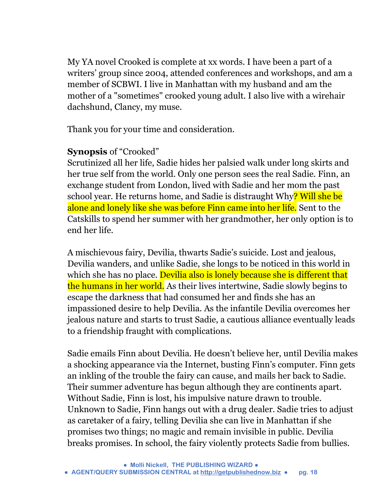My YA novel Crooked is complete at xx words. I have been a part of a writers' group since 2004, attended conferences and workshops, and am a member of SCBWI. I live in Manhattan with my husband and am the mother of a "sometimes" crooked young adult. I also live with a wirehair dachshund, Clancy, my muse.

Thank you for your time and consideration.

# **Synopsis** of "Crooked"

Scrutinized all her life, Sadie hides her palsied walk under long skirts and her true self from the world. Only one person sees the real Sadie. Finn, an exchange student from London, lived with Sadie and her mom the past school year. He returns home, and Sadie is distraught Why? Will she be alone and lonely like she was before Finn came into her life. Sent to the Catskills to spend her summer with her grandmother, her only option is to end her life.

A mischievous fairy, Devilia, thwarts Sadie's suicide. Lost and jealous, Devilia wanders, and unlike Sadie, she longs to be noticed in this world in which she has no place. Devilia also is lonely because she is different that the humans in her world. As their lives intertwine, Sadie slowly begins to escape the darkness that had consumed her and finds she has an impassioned desire to help Devilia. As the infantile Devilia overcomes her jealous nature and starts to trust Sadie, a cautious alliance eventually leads to a friendship fraught with complications.

Sadie emails Finn about Devilia. He doesn't believe her, until Devilia makes a shocking appearance via the Internet, busting Finn's computer. Finn gets an inkling of the trouble the fairy can cause, and mails her back to Sadie. Their summer adventure has begun although they are continents apart. Without Sadie, Finn is lost, his impulsive nature drawn to trouble. Unknown to Sadie, Finn hangs out with a drug dealer. Sadie tries to adjust as caretaker of a fairy, telling Devilia she can live in Manhattan if she promises two things; no magic and remain invisible in public. Devilia breaks promises. In school, the fairy violently protects Sadie from bullies.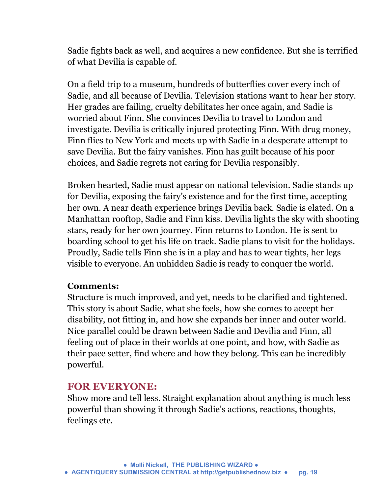Sadie fights back as well, and acquires a new confidence. But she is terrified of what Devilia is capable of.

On a field trip to a museum, hundreds of butterflies cover every inch of Sadie, and all because of Devilia. Television stations want to hear her story. Her grades are failing, cruelty debilitates her once again, and Sadie is worried about Finn. She convinces Devilia to travel to London and investigate. Devilia is critically injured protecting Finn. With drug money, Finn flies to New York and meets up with Sadie in a desperate attempt to save Devilia. But the fairy vanishes. Finn has guilt because of his poor choices, and Sadie regrets not caring for Devilia responsibly.

Broken hearted, Sadie must appear on national television. Sadie stands up for Devilia, exposing the fairy's existence and for the first time, accepting her own. A near death experience brings Devilia back. Sadie is elated. On a Manhattan rooftop, Sadie and Finn kiss. Devilia lights the sky with shooting stars, ready for her own journey. Finn returns to London. He is sent to boarding school to get his life on track. Sadie plans to visit for the holidays. Proudly, Sadie tells Finn she is in a play and has to wear tights, her legs visible to everyone. An unhidden Sadie is ready to conquer the world.

#### **Comments:**

Structure is much improved, and yet, needs to be clarified and tightened. This story is about Sadie, what she feels, how she comes to accept her disability, not fitting in, and how she expands her inner and outer world. Nice parallel could be drawn between Sadie and Devilia and Finn, all feeling out of place in their worlds at one point, and how, with Sadie as their pace setter, find where and how they belong. This can be incredibly powerful.

# **FOR EVERYONE:**

Show more and tell less. Straight explanation about anything is much less powerful than showing it through Sadie's actions, reactions, thoughts, feelings etc.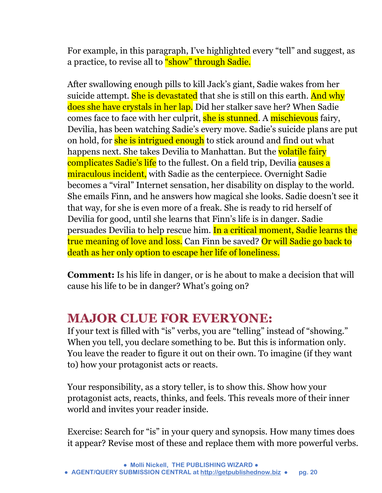For example, in this paragraph, I've highlighted every "tell" and suggest, as a practice, to revise all to "show" through Sadie.

After swallowing enough pills to kill Jack's giant, Sadie wakes from her suicide attempt. She is devastated that she is still on this earth. And why does she have crystals in her lap. Did her stalker save her? When Sadie comes face to face with her culprit, she is stunned. A mischievous fairy, Devilia, has been watching Sadie's every move. Sadie's suicide plans are put on hold, for she is intrigued enough to stick around and find out what happens next. She takes Devilia to Manhattan. But the volatile fairy complicates Sadie's life to the fullest. On a field trip, Devilia causes a miraculous incident, with Sadie as the centerpiece. Overnight Sadie becomes a "viral" Internet sensation, her disability on display to the world. She emails Finn, and he answers how magical she looks. Sadie doesn't see it that way, for she is even more of a freak. She is ready to rid herself of Devilia for good, until she learns that Finn's life is in danger. Sadie persuades Devilia to help rescue him. In a critical moment, Sadie learns the true meaning of love and loss. Can Finn be saved? Or will Sadie go back to death as her only option to escape her life of loneliness.

**Comment:** Is his life in danger, or is he about to make a decision that will cause his life to be in danger? What's going on?

# **MAJOR CLUE FOR EVERYONE:**

If your text is filled with "is" verbs, you are "telling" instead of "showing." When you tell, you declare something to be. But this is information only. You leave the reader to figure it out on their own. To imagine (if they want to) how your protagonist acts or reacts.

Your responsibility, as a story teller, is to show this. Show how your protagonist acts, reacts, thinks, and feels. This reveals more of their inner world and invites your reader inside.

Exercise: Search for "is" in your query and synopsis. How many times does it appear? Revise most of these and replace them with more powerful verbs.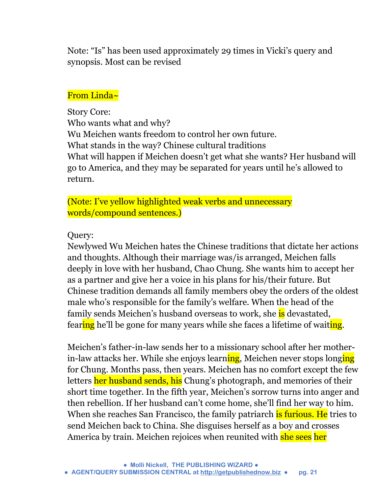Note: "Is" has been used approximately 29 times in Vicki's query and synopsis. Most can be revised

#### From Linda~

Story Core: Who wants what and why? Wu Meichen wants freedom to control her own future. What stands in the way? Chinese cultural traditions What will happen if Meichen doesn't get what she wants? Her husband will go to America, and they may be separated for years until he's allowed to return.

(Note: I've yellow highlighted weak verbs and unnecessary words/compound sentences.)

#### Query:

Newlywed Wu Meichen hates the Chinese traditions that dictate her actions and thoughts. Although their marriage was/is arranged, Meichen falls deeply in love with her husband, Chao Chung. She wants him to accept her as a partner and give her a voice in his plans for his/their future. But Chinese tradition demands all family members obey the orders of the oldest male who's responsible for the family's welfare. When the head of the family sends Meichen's husband overseas to work, she is devastated, fearing he'll be gone for many years while she faces a lifetime of waiting.

Meichen's father-in-law sends her to a missionary school after her motherin-law attacks her. While she enjoys learning, Meichen never stops longing for Chung. Months pass, then years. Meichen has no comfort except the few letters her husband sends, his Chung's photograph, and memories of their short time together. In the fifth year, Meichen's sorrow turns into anger and then rebellion. If her husband can't come home, she'll find her way to him. When she reaches San Francisco, the family patriarch is furious. He tries to send Meichen back to China. She disguises herself as a boy and crosses America by train. Meichen rejoices when reunited with she sees her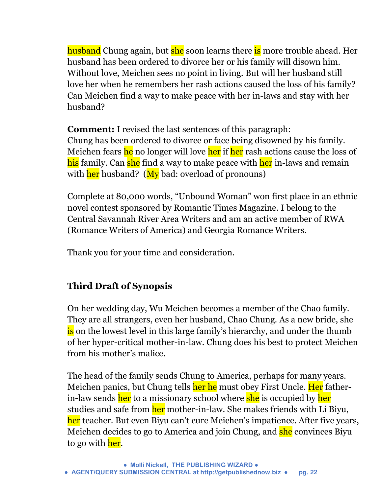husband Chung again, but she soon learns there is more trouble ahead. Her husband has been ordered to divorce her or his family will disown him. Without love, Meichen sees no point in living. But will her husband still love her when he remembers her rash actions caused the loss of his family? Can Meichen find a way to make peace with her in-laws and stay with her husband?

**Comment:** I revised the last sentences of this paragraph: Chung has been ordered to divorce or face being disowned by his family. Meichen fears he no longer will love her if her rash actions cause the loss of his family. Can she find a way to make peace with her in-laws and remain with  $\frac{\hbar e}{\hbar e}$  husband? ( $\frac{\hbar v}{\hbar e}$  bad: overload of pronouns)

Complete at 80,000 words, "Unbound Woman" won first place in an ethnic novel contest sponsored by Romantic Times Magazine. I belong to the Central Savannah River Area Writers and am an active member of RWA (Romance Writers of America) and Georgia Romance Writers.

Thank you for your time and consideration.

# **Third Draft of Synopsis**

On her wedding day, Wu Meichen becomes a member of the Chao family. They are all strangers, even her husband, Chao Chung. As a new bride, she is on the lowest level in this large family's hierarchy, and under the thumb of her hyper-critical mother-in-law. Chung does his best to protect Meichen from his mother's malice.

The head of the family sends Chung to America, perhaps for many years. Meichen panics, but Chung tells her he must obey First Uncle. Her fatherin-law sends her to a missionary school where she is occupied by her studies and safe from her mother-in-law. She makes friends with Li Biyu, her teacher. But even Biyu can't cure Meichen's impatience. After five years, Meichen decides to go to America and join Chung, and she convinces Biyu to go with her.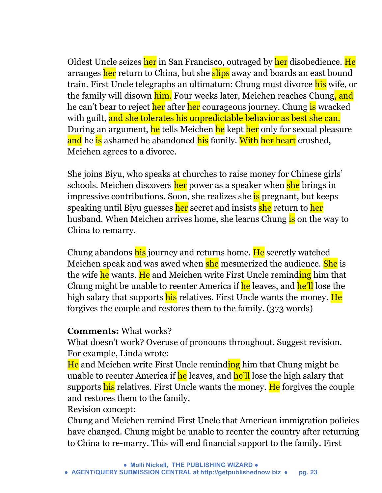Oldest Uncle seizes her in San Francisco, outraged by her disobedience. He arranges her return to China, but she slips away and boards an east bound train. First Uncle telegraphs an ultimatum: Chung must divorce his wife, or the family will disown him. Four weeks later, Meichen reaches Chung, and he can't bear to reject her after her courageous journey. Chung is wracked with guilt, and she tolerates his unpredictable behavior as best she can. During an argument, he tells Meichen he kept her only for sexual pleasure and he is ashamed he abandoned his family. With her heart crushed, Meichen agrees to a divorce.

She joins Biyu, who speaks at churches to raise money for Chinese girls' schools. Meichen discovers her power as a speaker when she brings in impressive contributions. Soon, she realizes she is pregnant, but keeps speaking until Biyu guesses her secret and insists she return to her husband. When Meichen arrives home, she learns Chung is on the way to China to remarry.

Chung abandons his journey and returns home. He secretly watched Meichen speak and was awed when she mesmerized the audience. She is the wife he wants. He and Meichen write First Uncle reminding him that Chung might be unable to reenter America if he leaves, and he'll lose the high salary that supports his relatives. First Uncle wants the money. He forgives the couple and restores them to the family. (373 words)

#### **Comments:** What works?

What doesn't work? Overuse of pronouns throughout. Suggest revision. For example, Linda wrote:

He and Meichen write First Uncle reminding him that Chung might be unable to reenter America if he leaves, and he'll lose the high salary that supports his relatives. First Uncle wants the money. He forgives the couple and restores them to the family.

Revision concept:

Chung and Meichen remind First Uncle that American immigration policies have changed. Chung might be unable to reenter the country after returning to China to re-marry. This will end financial support to the family. First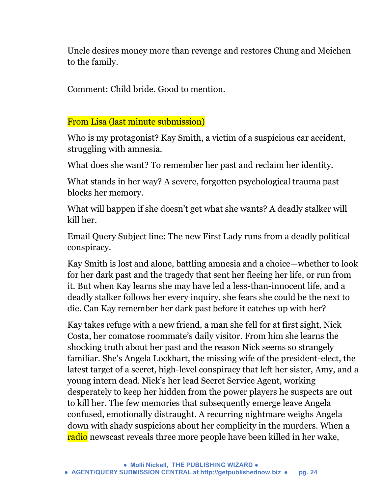Uncle desires money more than revenge and restores Chung and Meichen to the family.

Comment: Child bride. Good to mention.

#### From Lisa (last minute submission)

Who is my protagonist? Kay Smith, a victim of a suspicious car accident, struggling with amnesia.

What does she want? To remember her past and reclaim her identity.

What stands in her way? A severe, forgotten psychological trauma past blocks her memory.

What will happen if she doesn't get what she wants? A deadly stalker will kill her.

Email Query Subject line: The new First Lady runs from a deadly political conspiracy.

Kay Smith is lost and alone, battling amnesia and a choice—whether to look for her dark past and the tragedy that sent her fleeing her life, or run from it. But when Kay learns she may have led a less-than-innocent life, and a deadly stalker follows her every inquiry, she fears she could be the next to die. Can Kay remember her dark past before it catches up with her?

Kay takes refuge with a new friend, a man she fell for at first sight, Nick Costa, her comatose roommate's daily visitor. From him she learns the shocking truth about her past and the reason Nick seems so strangely familiar. She's Angela Lockhart, the missing wife of the president-elect, the latest target of a secret, high-level conspiracy that left her sister, Amy, and a young intern dead. Nick's her lead Secret Service Agent, working desperately to keep her hidden from the power players he suspects are out to kill her. The few memories that subsequently emerge leave Angela confused, emotionally distraught. A recurring nightmare weighs Angela down with shady suspicions about her complicity in the murders. When a radio newscast reveals three more people have been killed in her wake,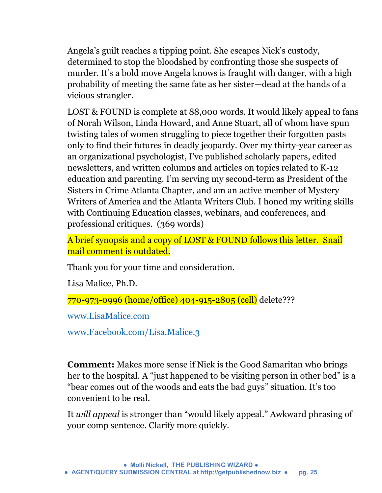Angela's guilt reaches a tipping point. She escapes Nick's custody, determined to stop the bloodshed by confronting those she suspects of murder. It's a bold move Angela knows is fraught with danger, with a high probability of meeting the same fate as her sister—dead at the hands of a vicious strangler.

LOST & FOUND is complete at 88,000 words. It would likely appeal to fans of Norah Wilson, Linda Howard, and Anne Stuart, all of whom have spun twisting tales of women struggling to piece together their forgotten pasts only to find their futures in deadly jeopardy. Over my thirty-year career as an organizational psychologist, I've published scholarly papers, edited newsletters, and written columns and articles on topics related to K-12 education and parenting. I'm serving my second-term as President of the Sisters in Crime Atlanta Chapter, and am an active member of Mystery Writers of America and the Atlanta Writers Club. I honed my writing skills with Continuing Education classes, webinars, and conferences, and professional critiques. (369 words)

A brief synopsis and a copy of LOST & FOUND follows this letter. Snail mail comment is outdated.

Thank you for your time and consideration.

Lisa Malice, Ph.D.

770-973-0996 (home/office) 404-915-2805 (cell) delete???

[www.LisaMalice.com](http://l.facebook.com/l.php?u=http%3A%2F%2Fwww.LisaMalice.com%2F&h=OAQELK5XA&s=1)

[www.Facebook.com/Lisa.Malice.3](http://www.facebook.com/Lisa.Malice.3)

**Comment:** Makes more sense if Nick is the Good Samaritan who brings her to the hospital. A "just happened to be visiting person in other bed" is a "bear comes out of the woods and eats the bad guys" situation. It's too convenient to be real.

It *will appeal* is stronger than "would likely appeal." Awkward phrasing of your comp sentence. Clarify more quickly.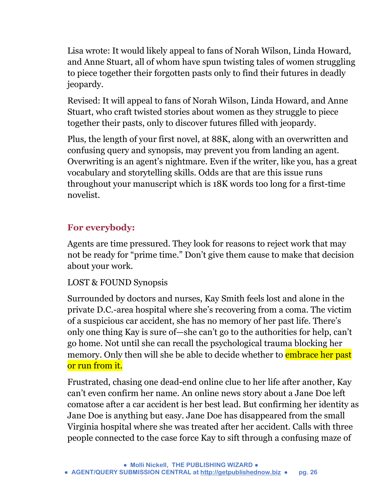Lisa wrote: It would likely appeal to fans of Norah Wilson, Linda Howard, and Anne Stuart, all of whom have spun twisting tales of women struggling to piece together their forgotten pasts only to find their futures in deadly jeopardy.

Revised: It will appeal to fans of Norah Wilson, Linda Howard, and Anne Stuart, who craft twisted stories about women as they struggle to piece together their pasts, only to discover futures filled with jeopardy.

Plus, the length of your first novel, at 88K, along with an overwritten and confusing query and synopsis, may prevent you from landing an agent. Overwriting is an agent's nightmare. Even if the writer, like you, has a great vocabulary and storytelling skills. Odds are that are this issue runs throughout your manuscript which is 18K words too long for a first-time novelist.

# **For everybody:**

Agents are time pressured. They look for reasons to reject work that may not be ready for "prime time." Don't give them cause to make that decision about your work.

# LOST & FOUND Synopsis

Surrounded by doctors and nurses, Kay Smith feels lost and alone in the private D.C.-area hospital where she's recovering from a coma. The victim of a suspicious car accident, she has no memory of her past life. There's only one thing Kay is sure of—she can't go to the authorities for help, can't go home. Not until she can recall the psychological trauma blocking her memory. Only then will she be able to decide whether to **embrace her past** or run from it.

Frustrated, chasing one dead-end online clue to her life after another, Kay can't even confirm her name. An online news story about a Jane Doe left comatose after a car accident is her best lead. But confirming her identity as Jane Doe is anything but easy. Jane Doe has disappeared from the small Virginia hospital where she was treated after her accident. Calls with three people connected to the case force Kay to sift through a confusing maze of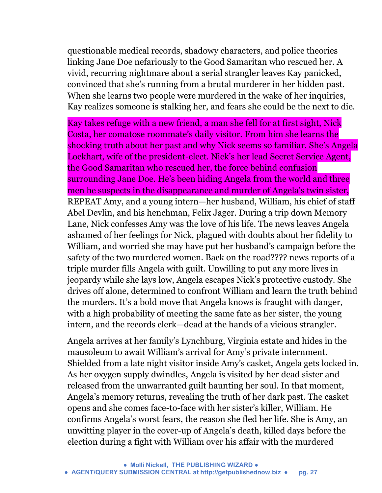questionable medical records, shadowy characters, and police theories linking Jane Doe nefariously to the Good Samaritan who rescued her. A vivid, recurring nightmare about a serial strangler leaves Kay panicked, convinced that she's running from a brutal murderer in her hidden past. When she learns two people were murdered in the wake of her inquiries, Kay realizes someone is stalking her, and fears she could be the next to die.

Kay takes refuge with a new friend, a man she fell for at first sight, Nick Costa, her comatose roommate's daily visitor. From him she learns the shocking truth about her past and why Nick seems so familiar. She's Angela Lockhart, wife of the president-elect. Nick's her lead Secret Service Agent, the Good Samaritan who rescued her, the force behind confusion surrounding Jane Doe. He's been hiding Angela from the world and three men he suspects in the disappearance and murder of Angela's twin sister, REPEAT Amy, and a young intern—her husband, William, his chief of staff Abel Devlin, and his henchman, Felix Jager. During a trip down Memory Lane, Nick confesses Amy was the love of his life. The news leaves Angela ashamed of her feelings for Nick, plagued with doubts about her fidelity to William, and worried she may have put her husband's campaign before the safety of the two murdered women. Back on the road???? news reports of a triple murder fills Angela with guilt. Unwilling to put any more lives in jeopardy while she lays low, Angela escapes Nick's protective custody. She drives off alone, determined to confront William and learn the truth behind the murders. It's a bold move that Angela knows is fraught with danger, with a high probability of meeting the same fate as her sister, the young intern, and the records clerk—dead at the hands of a vicious strangler.

Angela arrives at her family's Lynchburg, Virginia estate and hides in the mausoleum to await William's arrival for Amy's private internment. Shielded from a late night visitor inside Amy's casket, Angela gets locked in. As her oxygen supply dwindles, Angela is visited by her dead sister and released from the unwarranted guilt haunting her soul. In that moment, Angela's memory returns, revealing the truth of her dark past. The casket opens and she comes face-to-face with her sister's killer, William. He confirms Angela's worst fears, the reason she fled her life. She is Amy, an unwitting player in the cover-up of Angela's death, killed days before the election during a fight with William over his affair with the murdered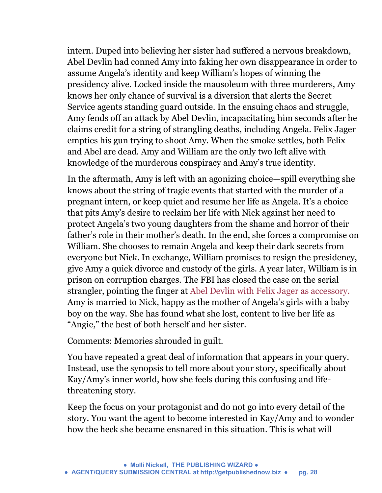intern. Duped into believing her sister had suffered a nervous breakdown, Abel Devlin had conned Amy into faking her own disappearance in order to assume Angela's identity and keep William's hopes of winning the presidency alive. Locked inside the mausoleum with three murderers, Amy knows her only chance of survival is a diversion that alerts the Secret Service agents standing guard outside. In the ensuing chaos and struggle, Amy fends off an attack by Abel Devlin, incapacitating him seconds after he claims credit for a string of strangling deaths, including Angela. Felix Jager empties his gun trying to shoot Amy. When the smoke settles, both Felix and Abel are dead. Amy and William are the only two left alive with knowledge of the murderous conspiracy and Amy's true identity.

In the aftermath, Amy is left with an agonizing choice—spill everything she knows about the string of tragic events that started with the murder of a pregnant intern, or keep quiet and resume her life as Angela. It's a choice that pits Amy's desire to reclaim her life with Nick against her need to protect Angela's two young daughters from the shame and horror of their father's role in their mother's death. In the end, she forces a compromise on William. She chooses to remain Angela and keep their dark secrets from everyone but Nick. In exchange, William promises to resign the presidency, give Amy a quick divorce and custody of the girls. A year later, William is in prison on corruption charges. The FBI has closed the case on the serial strangler, pointing the finger at Abel Devlin with Felix Jager as accessory. Amy is married to Nick, happy as the mother of Angela's girls with a baby boy on the way. She has found what she lost, content to live her life as "Angie," the best of both herself and her sister.

Comments: Memories shrouded in guilt.

You have repeated a great deal of information that appears in your query. Instead, use the synopsis to tell more about your story, specifically about Kay/Amy's inner world, how she feels during this confusing and lifethreatening story.

Keep the focus on your protagonist and do not go into every detail of the story. You want the agent to become interested in Kay/Amy and to wonder how the heck she became ensnared in this situation. This is what will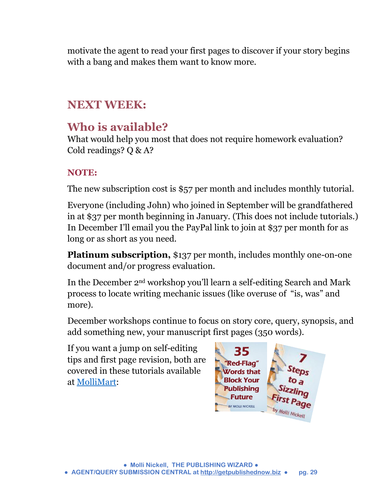motivate the agent to read your first pages to discover if your story begins with a bang and makes them want to know more.

# **NEXT WEEK:**

# **Who is available?**

What would help you most that does not require homework evaluation? Cold readings? Q & A?

# **NOTE:**

The new subscription cost is \$57 per month and includes monthly tutorial.

Everyone (including John) who joined in September will be grandfathered in at \$37 per month beginning in January. (This does not include tutorials.) In December I'll email you the PayPal link to join at \$37 per month for as long or as short as you need.

**Platinum subscription,** \$137 per month, includes monthly one-on-one document and/or progress evaluation.

In the December 2nd workshop you'll learn a self-editing Search and Mark process to locate writing mechanic issues (like overuse of "is, was" and more).

December workshops continue to focus on story core, query, synopsis, and add something new, your manuscript first pages (350 words).

If you want a jump on self-editing tips and first page revision, both are covered in these tutorials available at [MolliMart:](http://www.getpublishednow.biz/mollimart.html)

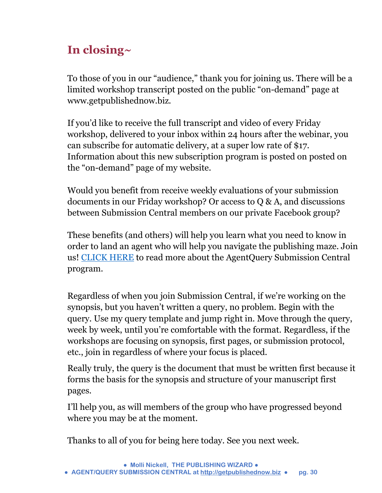# **In closing~**

To those of you in our "audience," thank you for joining us. There will be a limited workshop transcript posted on the public "on-demand" page at www.getpublishednow.biz.

If you'd like to receive the full transcript and video of every Friday workshop, delivered to your inbox within 24 hours after the webinar, you can subscribe for automatic delivery, at a super low rate of \$17. Information about this new subscription program is posted on posted on the "on-demand" page of my website.

Would you benefit from receive weekly evaluations of your submission documents in our Friday workshop? Or access to Q & A, and discussions between Submission Central members on our private Facebook group?

These benefits (and others) will help you learn what you need to know in order to land an agent who will help you navigate the publishing maze. Join us! [CLICK HERE](http://www.getpublishednow.biz/agentquery-submission-central.html) to read more about the AgentQuery Submission Central program.

Regardless of when you join Submission Central, if we're working on the synopsis, but you haven't written a query, no problem. Begin with the query. Use my query template and jump right in. Move through the query, week by week, until you're comfortable with the format. Regardless, if the workshops are focusing on synopsis, first pages, or submission protocol, etc., join in regardless of where your focus is placed.

Really truly, the query is the document that must be written first because it forms the basis for the synopsis and structure of your manuscript first pages.

I'll help you, as will members of the group who have progressed beyond where you may be at the moment.

Thanks to all of you for being here today. See you next week.